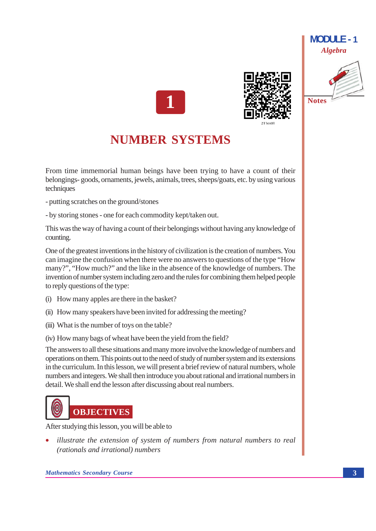





# **NUMBER SYSTEMS**

From time immemorial human beings have been trying to have a count of their belongings-goods, ornaments, jewels, animals, trees, sheeps/goats, etc. by using various techniques

- putting scratches on the ground/stones
- by storing stones one for each commodity kept/taken out.

This was the way of having a count of their belongings without having any knowledge of counting.

One of the greatest inventions in the history of civilization is the creation of numbers. You can imagine the confusion when there were no answers to questions of the type "How" many?", "How much?" and the like in the absence of the knowledge of numbers. The invention of number system including zero and the rules for combining them helped people to reply questions of the type:

- (i) How many apples are there in the basket?
- (ii) How many speakers have been invited for addressing the meeting?
- (iii) What is the number of toys on the table?
- (iv) How many bags of wheat have been the yield from the field?

The answers to all these situations and many more involve the knowledge of numbers and operations on them. This points out to the need of study of number system and its extensions in the curriculum. In this lesson, we will present a brief review of natural numbers, whole numbers and integers. We shall then introduce you about rational and irrational numbers in detail. We shall end the lesson after discussing about real numbers.



After studying this lesson, you will be able to

illustrate the extension of system of numbers from natural numbers to real (rationals and irrational) numbers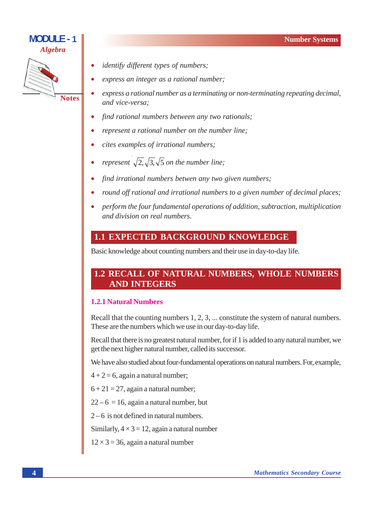#### **Number Systems**

## **MODULE - 1 Algebra**



- identify different types of numbers;
- express an integer as a rational number;
- express a rational number as a terminating or non-terminating repeating decimal, and vice-versa:
- find rational numbers between any two rationals;
- represent a rational number on the number line:
- cites examples of irrational numbers;
- represent  $\sqrt{2}, \sqrt{3}, \sqrt{5}$  on the number line;
- find irrational numbers betwen any two given numbers;
- round off rational and irrational numbers to a given number of decimal places;
- perform the four fundamental operations of addition, subtraction, multiplication and division on real numbers.

## **1.1 EXPECTED BACKGROUND KNOWLEDGE**

Basic knowledge about counting numbers and their use in day-to-day life.

## **1.2 RECALL OF NATURAL NUMBERS, WHOLE NUMBERS AND INTEGERS**

#### 121 Natural Numbers

Recall that the counting numbers  $1, 2, 3, \ldots$  constitute the system of natural numbers. These are the numbers which we use in our day-to-day life.

Recall that there is no greatest natural number, for if 1 is added to any natural number, we get the next higher natural number, called its successor.

We have also studied about four-fundamental operations on natural numbers. For, example,

- $4 + 2 = 6$ , again a natural number;
- $6 + 21 = 27$ , again a natural number;
- $22-6 = 16$ , again a natural number, but
- $2-6$  is not defined in natural numbers.

Similarly,  $4 \times 3 = 12$ , again a natural number

 $12 \times 3 = 36$ , again a natural number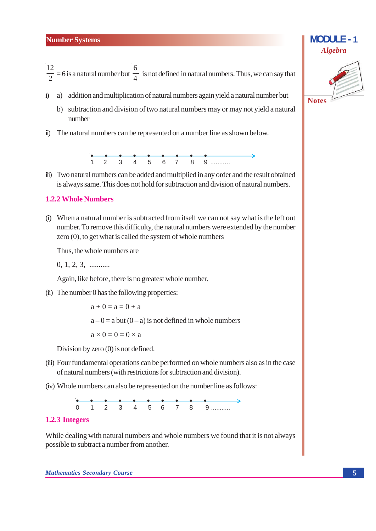# $\frac{12}{2}$  = 6 is a natural number but  $\frac{6}{4}$  is not defined in natural numbers. Thus, we can say that

- a) addition and multiplication of natural numbers again yield a natural number but  $i)$ 
	- b) subtraction and division of two natural numbers may or may not vield a natural number
- ii) The natural numbers can be represented on a number line as shown below.



iii) Two natural numbers can be added and multiplied in any order and the result obtained is always same. This does not hold for subtraction and division of natural numbers.

#### **1.2.2 Whole Numbers**

(i) When a natural number is subtracted from itself we can not say what is the left out number. To remove this difficulty, the natural numbers were extended by the number zero  $(0)$ , to get what is called the system of whole numbers

Thus, the whole numbers are

 $0, 1, 2, 3, \dots$ 

Again, like before, there is no greatest whole number.

(ii) The number 0 has the following properties:

 $a + 0 = a = 0 + a$  $a-0 = a$  but  $(0 - a)$  is not defined in whole numbers  $a \times 0 = 0 = 0 \times a$ 

Division by zero  $(0)$  is not defined.

- (iii) Four fundamental operations can be performed on whole numbers also as in the case of natural numbers (with restrictions for subtraction and division).
- (iv) Whole numbers can also be represented on the number line as follows:



#### 1.2.3 Integers

While dealing with natural numbers and whole numbers we found that it is not always possible to subtract a number from another.



 $MODIII F - 1$ 

**Algebra**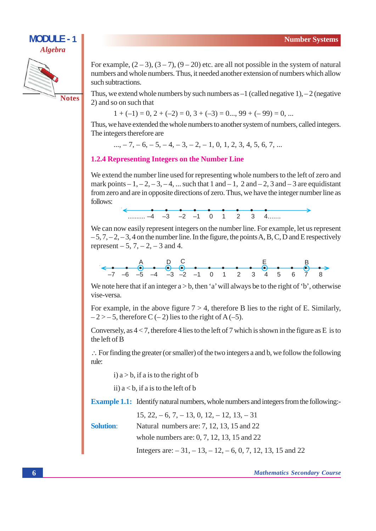

**Notes** 

For example,  $(2-3)$ ,  $(3-7)$ ,  $(9-20)$  etc. are all not possible in the system of natural numbers and whole numbers. Thus, it needed another extension of numbers which allow such subtractions.

Thus, we extend whole numbers by such numbers as  $-1$  (called negative 1),  $-2$  (negative 2) and so on such that

 $1 + (-1) = 0$ ,  $2 + (-2) = 0$ ,  $3 + (-3) = 0$ ,  $99 + (-99) = 0$ , ...

Thus, we have extended the whole numbers to another system of numbers, called integers. The integers therefore are

 $..., -7, -6, -5, -4, -3, -2, -1, 0, 1, 2, 3, 4, 5, 6, 7, ...$ 

#### **1.2.4 Representing Integers on the Number Line**

We extend the number line used for representing whole numbers to the left of zero and mark points  $-1, -2, -3, -4, ...$  such that 1 and  $-1$ , 2 and  $-2$ , 3 and  $-3$  are equidistant from zero and are in opposite directions of zero. Thus, we have the integer number line as follows:



We can now easily represent integers on the number line. For example, let us represent  $-5, 7, -2, -3, 4$  on the number line. In the figure, the points A, B, C, D and E respectively represent  $-5$ , 7,  $-2$ ,  $-3$  and 4.

We note here that if an integer  $a > b$ , then 'a' will always be to the right of 'b', otherwise vise-versa.

For example, in the above figure  $7 > 4$ , therefore B lies to the right of E. Similarly,  $-2$  > - 5, therefore C (-2) lies to the right of A (-5).

Conversely, as  $4 < 7$ , therefore 4 lies to the left of 7 which is shown in the figure as E is to the left of B

 $\therefore$  For finding the greater (or smaller) of the two integers a and b, we follow the following rule:

i)  $a > b$ , if a is to the right of b

ii)  $a < b$ , if a is to the left of b

**Example 1.1:** Identify natural numbers, whole numbers and integers from the following:-

|                  | $15, 22, -6, 7, -13, 0, 12, -12, 13, -31$               |
|------------------|---------------------------------------------------------|
| <b>Solution:</b> | Natural numbers are: 7, 12, 13, 15 and 22               |
|                  | whole numbers are: $0, 7, 12, 13, 15$ and $22$          |
|                  | Integers are: $-31, -13, -12, -6, 0, 7, 12, 13, 15$ and |

22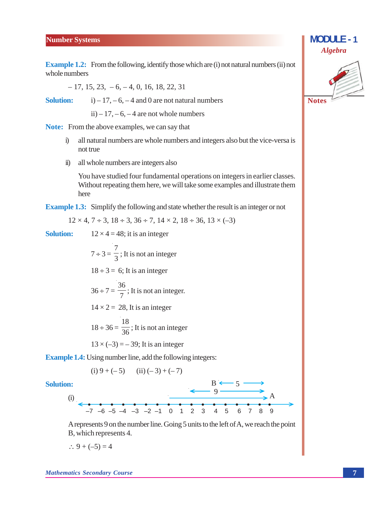#### **Number Systems**

**Example 1.2:** From the following, identify those which are (i) not natural numbers (ii) not whole numbers

$$
-17, 15, 23, -6, -4, 0, 16, 18, 22, 31
$$

**Solution:** 

ii) – 17, – 6, – 4 are not whole numbers

 $(i) - 17, -6, -4$  and 0 are not natural numbers

**Note:** From the above examples, we can say that

- all natural numbers are whole numbers and integers also but the vice-versa is  $i)$ not true
- ii) all whole numbers are integers also

You have studied four fundamental operations on integers in earlier classes. Without repeating them here, we will take some examples and illustrate them here

**Example 1.3:** Simplify the following and state whether the result is an integer or not

$$
12 \times 4
$$
,  $7 \div 3$ ,  $18 \div 3$ ,  $36 \div 7$ ,  $14 \times 2$ ,  $18 \div 36$ ,  $13 \times (-3)$ 

**Solution:**  $12 \times 4 = 48$ ; it is an integer

> $7 \div 3 = \frac{7}{3}$ ; It is not an integer  $18 \div 3 = 6$ ; It is an integer  $36 \div 7 = \frac{36}{7}$ ; It is not an integer.  $14 \times 2 = 28$ . It is an integer  $18 \div 36 = \frac{18}{36}$ ; It is not an integer  $13 \times (-3) = -39$ ; It is an integer

**Example 1.4:** Using number line, add the following integers:

(i) 
$$
9 + (-5)
$$
 (ii)  $(-3) + (-7)$ 

Solution:

 $\begin{array}{c}\n\text{(i)}\\
\leftarrow\n\end{array}$ 

A represents 9 on the number line. Going 5 units to the left of A, we reach the point B, which represents 4.

 $\therefore 9 + (-5) = 4$ 



**MODULE - 1**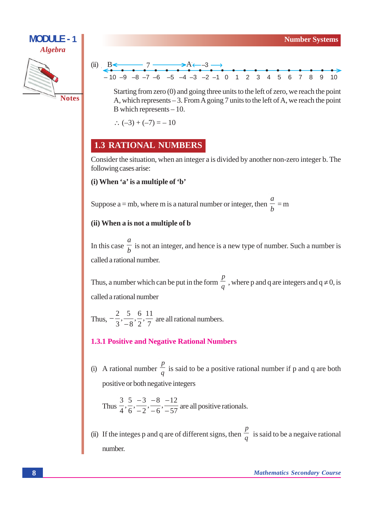



Starting from zero (0) and going three units to the left of zero, we reach the point A, which represents  $-3$ . From A going 7 units to the left of A, we reach the point B which represents  $-10$ .

 $\therefore (-3) + (-7) = -10$ 

#### **1.3 RATIONAL NUMBERS**

Consider the situation, when an integer a is divided by another non-zero integer b. The following cases arise:

#### (i) When 'a' is a multiple of 'b'

Suppose a = mb, where m is a natural number or integer, then  $\frac{a}{b}$  = m

#### (ii) When a is not a multiple of b

In this case  $\frac{a}{b}$  is not an integer, and hence is a new type of number. Such a number is called a rational number.

Thus, a number which can be put in the form  $\frac{p}{q}$ , where p and q are integers and  $q \neq 0$ , is called a rational number

Thus,  $-\frac{2}{3}, \frac{5}{-8}, \frac{6}{2}, \frac{11}{7}$  are all rational numbers.

#### **1.3.1 Positive and Negative Rational Numbers**

(i) A rational number  $\frac{p}{q}$  is said to be a positive rational number if p and q are both positive or both negative integers

Thus 
$$
\frac{3}{4}, \frac{5}{6}, \frac{-3}{-2}, \frac{-8}{-6}, \frac{-12}{-57}
$$
 are all positive rationals.

(ii) If the integes p and q are of different signs, then  $\frac{p}{q}$  is said to be a negative rational number.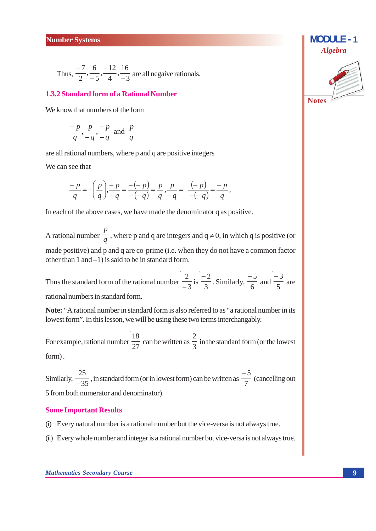Thus,  $\frac{-7}{2}$ ,  $\frac{6}{-5}$ ,  $\frac{-12}{4}$ ,  $\frac{16}{-3}$  are all negative rationals.

#### **1.3.2 Standard form of a Rational Number**

We know that numbers of the form

$$
\frac{-p}{q}, \frac{p}{-q}, \frac{-p}{-q}
$$
 and 
$$
\frac{p}{q}
$$

are all rational numbers, where p and q are positive integers

We can see that

$$
\frac{-p}{q} = -\left(\frac{p}{q}\right) \cdot \frac{-p}{-q} = \frac{-(-p)}{-(-q)} = \frac{p}{q}, \frac{p}{-q} = \frac{(-p)}{-(-q)} = \frac{-p}{q},
$$

In each of the above cases, we have made the denominator q as positive.

A rational number  $\frac{p}{q}$ , where p and q are integers and q  $\neq 0$ , in which q is positive (or made positive) and p and q are co-prime (i.e. when they do not have a common factor other than  $1$  and  $-1$ ) is said to be in standard form.

Thus the standard form of the rational number  $\frac{2}{-3}$  is  $\frac{-2}{3}$ . Similarly,  $\frac{-5}{6}$  and  $\frac{-3}{5}$  are rational numbers in standard form.

Note: "A rational number in standard form is also referred to as "a rational number in its lowest form". In this lesson, we will be using these two terms interchangably.

For example, rational number  $\frac{18}{27}$  can be written as  $\frac{2}{3}$  in the standard form (or the lowest form).

Similarly,  $\frac{25}{-35}$ , in standard form (or in lowest form) can be written as  $\frac{-5}{7}$  (cancelling out 5 from both numerator and denominator).

#### **Some Important Results**

- (i) Every natural number is a rational number but the vice-versa is not always true.
- (ii) Every whole number and integer is a rational number but vice-versa is not always true.



 $MODIII F - 1$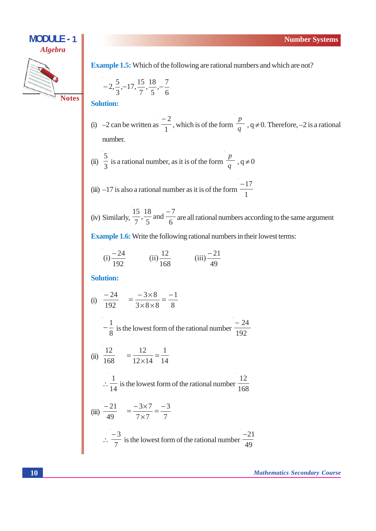

**Example 1.5:** Which of the following are rational numbers and which are not?

$$
-2, \frac{5}{3}, -17, \frac{15}{7}, \frac{18}{5}, -\frac{7}{6}
$$

**Solution:** 

(i)  $-2$  can be written as  $\frac{-2}{1}$ , which is of the form  $\frac{p}{q}$ ,  $q \neq 0$ . Therefore,  $-2$  is a rational number.

(ii) 
$$
\frac{5}{3}
$$
 is a rational number, as it is of the form  $\frac{p}{q}$ ,  $q \neq 0$ 

(iii) 
$$
-17
$$
 is also a rational number as it is of the form  $\frac{-17}{1}$ 

(iv) Similarly,  $\frac{15}{7}$ ,  $\frac{18}{5}$  and  $\frac{-7}{6}$  are all rational numbers according to the same argument

**Example 1.6:** Write the following rational numbers in their lowest terms:

(i) 
$$
\frac{-24}{192}
$$
 (ii)  $\frac{12}{168}$  (iii)  $\frac{-21}{49}$ 

**Solution:** 

(i) 
$$
\frac{-24}{192} = \frac{-3 \times 8}{3 \times 8 \times 8} = \frac{-1}{8}
$$
  
\n $-\frac{1}{8}$  is the lowest form of the rational number  $\frac{-24}{192}$   
\n(ii)  $\frac{12}{168} = \frac{12}{12 \times 14} = \frac{1}{14}$   
\n $\therefore \frac{1}{14}$  is the lowest form of the rational number  $\frac{12}{168}$   
\n(iii)  $\frac{-21}{49} = \frac{-3 \times 7}{7 \times 7} = \frac{-3}{7}$   
\n $\therefore \frac{-3}{7}$  is the lowest form of the rational number  $\frac{-21}{49}$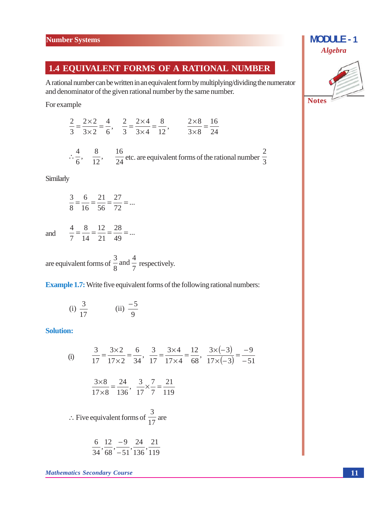#### **1.4 EQUIVALENT FORMS OF A RATIONAL NUMBER**

A rational number can be written in an equivalent form by multiplying/dividing the numerator and denominator of the given rational number by the same number.

For example

 $\frac{2}{3} = \frac{2 \times 2}{3 \times 2} = \frac{4}{6}$ ,  $\frac{2}{3} = \frac{2 \times 4}{3 \times 4} = \frac{8}{12}$ ,  $\frac{2 \times 8}{3 \times 8} = \frac{16}{24}$  $\therefore \frac{4}{6}, \frac{8}{12}, \frac{16}{24}$  etc. are equivalent forms of the rational number  $\frac{2}{3}$ 

Similarly

$$
\frac{3}{8} = \frac{6}{16} = \frac{21}{56} = \frac{27}{72} = \dots
$$

and  $\frac{4}{7} = \frac{8}{14} = \frac{12}{21} = \frac{28}{49} = ...$ 

are equivalent forms of  $\frac{3}{8}$  and  $\frac{4}{7}$  respectively.

**Example 1.7:** Write five equivalent forms of the following rational numbers:

(i) 
$$
\frac{3}{17}
$$
 (ii)  $\frac{-5}{9}$ 

#### **Solution:**

(i) 
$$
\frac{3}{17} = \frac{3 \times 2}{17 \times 2} = \frac{6}{34}, \quad \frac{3}{17} = \frac{3 \times 4}{17 \times 4} = \frac{12}{68}, \quad \frac{3 \times (-3)}{17 \times (-3)} = \frac{-9}{-51}
$$
  

$$
\frac{3 \times 8}{17 \times 8} = \frac{24}{136}, \quad \frac{3}{17} \times \frac{7}{7} = \frac{21}{119}
$$
  

$$
\therefore \text{ Five equivalent forms of } \frac{3}{17} \text{ are}
$$
  

$$
\frac{6}{34}, \frac{12}{68}, \frac{-9}{-51}, \frac{24}{136}, \frac{21}{119}
$$

**Mathematics Secondary Course** 



**MODULE - 1**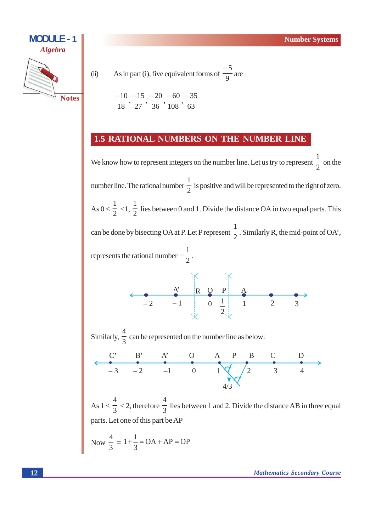

$$
As in part (i), f
$$

 $(ii)$ 

As in part (i), five equivalent forms of 
$$
\frac{-5}{9}
$$
 are

$$
\frac{-10}{18}, \frac{-15}{27}, \frac{-20}{36}, \frac{-60}{108}, \frac{-35}{63}
$$

## 1.5 RATIONAL NUMBERS ON THE NUMBER LINE

We know how to represent integers on the number line. Let us try to represent  $\frac{1}{2}$  on the number line. The rational number  $\frac{1}{2}$  is positive and will be represented to the right of zero. As  $0 < \frac{1}{2} < 1$ ,  $\frac{1}{2}$  lies between 0 and 1. Divide the distance OA in two equal parts. This can be done by bisecting OA at P. Let P represent  $\frac{1}{2}$ . Similarly R, the mid-point of OA', represents the rational number  $-\frac{1}{2}$ .

$$
\begin{array}{c|cc}\n & A' & R & Q & P & A \\
\hline\n-2 & -1 & 0 & \frac{1}{2} & 1 & 2 & 3\n\end{array}
$$

Similarly,  $\frac{4}{3}$  can be represented on the number line as below:



As  $1 < \frac{4}{3} < 2$ , therefore  $\frac{4}{3}$  lies between 1 and 2. Divide the distance AB in three equal parts. Let one of this part be AP

Now 
$$
\frac{4}{3} = 1 + \frac{1}{3} = OA + AP = OP
$$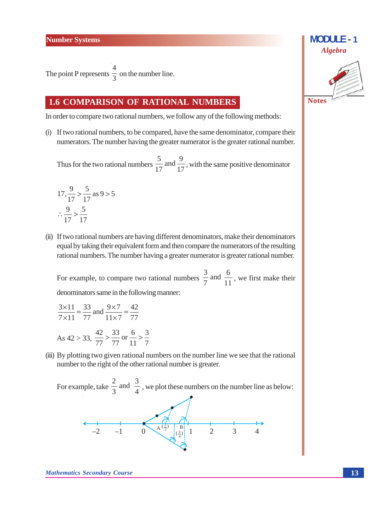The point P represents  $\frac{4}{3}$  on the number line.

#### **1.6 COMPARISON OF RATIONAL NUMBERS**

In order to compare two rational numbers, we follow any of the following methods:

(i) If two rational numbers, to be compared, have the same denominator, compare their numerators. The number having the greater numerator is the greater rational number.

Thus for the two rational numbers  $\frac{5}{17}$  and  $\frac{9}{17}$ , with the same positive denominator

$$
17, \frac{9}{17} > \frac{5}{17} \text{ as } 9 > 5
$$
  

$$
\therefore \frac{9}{17} > \frac{5}{17}
$$

(ii) If two rational numbers are having different denominators, make their denominators equal by taking their equivalent form and then compare the numerators of the resulting rational numbers. The number having a greater numerator is greater rational number.

For example, to compare two rational numbers  $\frac{3}{7}$  and  $\frac{6}{11}$ , we first make their denominators same in the following manner:

$$
\frac{3 \times 11}{7 \times 11} = \frac{33}{77} \text{ and } \frac{9 \times 7}{11 \times 7} = \frac{42}{77}
$$
  
As 42 > 33,  $\frac{42}{77} > \frac{33}{77} \text{ or } \frac{6}{11} > \frac{3}{7}$ 

(iii) By plotting two given rational numbers on the number line we see that the rational number to the right of the other rational number is greater.

For example, take  $\frac{2}{3}$  and  $\frac{3}{4}$ , we plot these numbers on the number line as below:





**Mathematics Secondary Course**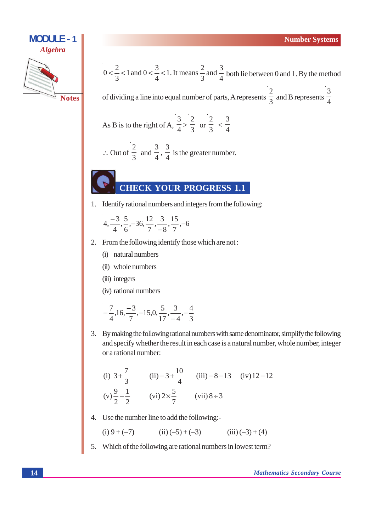

 $0 < \frac{2}{3} < 1$  and  $0 < \frac{3}{4} < 1$ . It means  $\frac{2}{3}$  and  $\frac{3}{4}$  both lie between 0 and 1. By the method

of dividing a line into equal number of parts, A represents  $\frac{2}{3}$  and B represents  $\frac{3}{4}$ 

As B is to the right of A, 
$$
\frac{3}{4} > \frac{2}{3}
$$
 or  $\frac{2}{3} < \frac{3}{4}$ 

$$
\therefore
$$
 Out of  $\frac{2}{3}$  and  $\frac{3}{4}$ ,  $\frac{3}{4}$  is the greater number.

## **CHECK YOUR PROGRESS 1.1**

1. Identify rational numbers and integers from the following:

$$
4, \frac{-3}{4}, \frac{5}{6}, -36, \frac{12}{7}, \frac{3}{8}, \frac{15}{7}, -6
$$

- 2. From the following identify those which are not:
	- (i) natural numbers
	- (ii) whole numbers
	- (iii) integers

(iv) rational numbers

$$
-\frac{7}{4},16,\frac{-3}{7},-15,0,\frac{5}{17},\frac{3}{-4},-\frac{4}{3}
$$

3. By making the following rational numbers with same denominator, simplify the following and specify whether the result in each case is a natural number, whole number, integer or a rational number:

(i) 
$$
3 + \frac{7}{3}
$$
 (ii)  $-3 + \frac{10}{4}$  (iii)  $-8 - 13$  (iv)  $12 - 12$   
\n(v)  $\frac{9}{2} - \frac{1}{2}$  (vi)  $2 \times \frac{5}{7}$  (vii)  $8 \div 3$ 

4. Use the number line to add the following:-

(i) 
$$
9 + (-7)
$$
 (ii)  $(-5) + (-3)$  (iii)  $(-3) + (4)$ 

5. Which of the following are rational numbers in lowest term?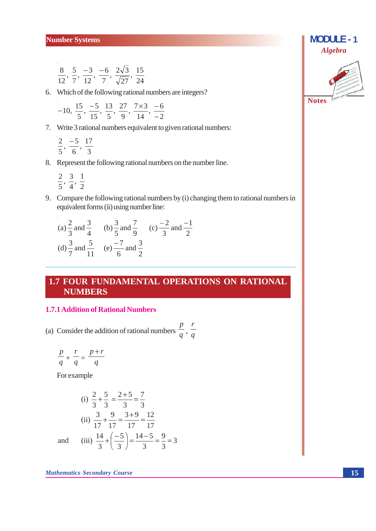$$
\frac{8}{12}, \frac{5}{7}, \frac{-3}{12}, \frac{-6}{7}, \frac{2\sqrt{3}}{\sqrt{27}}, \frac{15}{24}
$$

6. Which of the following rational numbers are integers?

$$
-10, \frac{15}{5}, \frac{-5}{15}, \frac{13}{5}, \frac{27}{9}, \frac{7 \times 3}{14}, \frac{-6}{-2}
$$

7. Write 3 rational numbers equivalent to given rational numbers:

$$
\frac{2}{5}, \frac{-5}{6}, \frac{17}{3}
$$

#### 8. Represent the following rational numbers on the number line.

- $\frac{2}{5}, \frac{3}{4}, \frac{1}{2}$
- 9. Compare the following rational numbers by (i) changing them to rational numbers in equivalent forms (ii) using number line:

(a) 
$$
\frac{2}{3}
$$
 and  $\frac{3}{4}$  (b)  $\frac{3}{5}$  and  $\frac{7}{9}$  (c)  $-\frac{2}{3}$  and  $\frac{-1}{2}$   
(d)  $\frac{3}{7}$  and  $\frac{5}{11}$  (e)  $\frac{-7}{6}$  and  $\frac{3}{2}$ 

## 1.7 FOUR FUNDAMENTAL OPERATIONS ON RATIONAL **NUMBERS**

#### **1.7.1 Addition of Rational Numbers**

(a) Consider the addition of rational numbers  $\frac{p}{q}$ ,  $\frac{r}{q}$ 

$$
\frac{p}{q} + \frac{r}{q} = \frac{p+r}{q}
$$

For example

l,

(i) 
$$
\frac{2}{3} + \frac{5}{3} = \frac{2+5}{3} = \frac{7}{3}
$$
  
\n(ii)  $\frac{3}{17} + \frac{9}{17} = \frac{3+9}{17} = \frac{12}{17}$   
\nand (iii)  $\frac{14}{3} + \left(\frac{-5}{3}\right) = \frac{14-5}{3} = \frac{9}{3} = 3$ 



**MODULE - 1**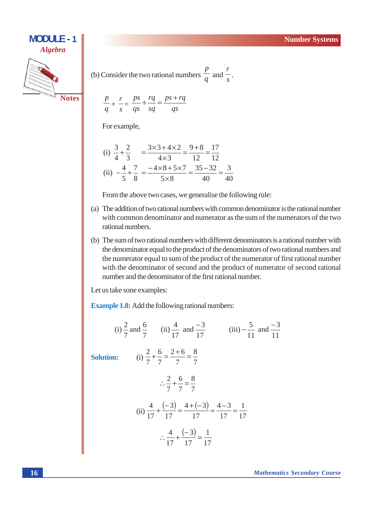

(b) Consider the two rational numbers 
$$
\frac{p}{q}
$$
 and  $\frac{r}{s}$ .

$$
\sqrt[1]{\text{Notes}}
$$

$$
\frac{p}{q} + \frac{r}{s} = \frac{ps}{qs} + \frac{rq}{sq} = \frac{ps + rq}{qs}
$$

For example,

 $\boldsymbol{n}$ 

(i) 
$$
\frac{3}{4} + \frac{2}{3} = \frac{3 \times 3 + 4 \times 2}{4 \times 3} = \frac{9 + 8}{12} = \frac{17}{12}
$$
  
\n(ii)  $-\frac{4}{5} + \frac{7}{8} = \frac{-4 \times 8 + 5 \times 7}{5 \times 8} = \frac{35 - 32}{40} = \frac{3}{40}$ 

From the above two cases, we generalise the following rule:

- (a) The addition of two rational numbers with common denominator is the rational number with common denominator and numerator as the sum of the numerators of the two rational numbers.
- (b) The sum of two rational numbers with different denominators is a rational number with the denominator equal to the product of the denominators of two rational numbers and the numerator equal to sum of the product of the numerator of first rational number with the denominator of second and the product of numerator of second rational number and the denominator of the first rational number.

Let us take sone examples:

**Example 1.8:** Add the following rational numbers:

(i) 
$$
\frac{2}{7}
$$
 and  $\frac{6}{7}$  (ii)  $\frac{4}{17}$  and  $\frac{-3}{17}$  (iii)  $-\frac{5}{11}$  and  $\frac{-3}{11}$   
\nSolution:  
\n(i)  $\frac{2}{7} + \frac{6}{7} = \frac{2+6}{7} = \frac{8}{7}$   
\n $\therefore \frac{2}{7} + \frac{6}{7} = \frac{8}{7}$   
\n(ii)  $\frac{4}{17} + \frac{(-3)}{17} = \frac{4+(-3)}{17} = \frac{4-3}{17} = \frac{1}{17}$   
\n $\therefore \frac{4}{17} + \frac{(-3)}{17} = \frac{1}{17}$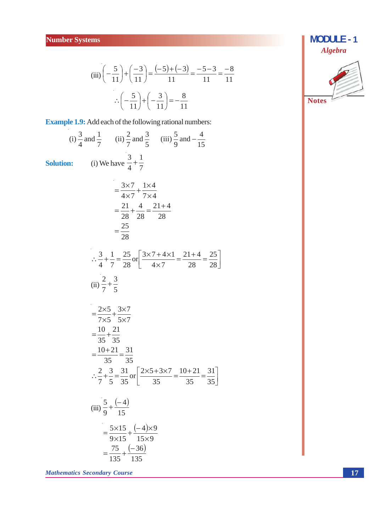(iii) 
$$
\left(-\frac{5}{11}\right) + \left(\frac{-3}{11}\right) = \frac{(-5) + (-3)}{11} = \frac{-5 - 3}{11} = \frac{-8}{11}
$$
  

$$
\therefore \left(-\frac{5}{11}\right) + \left(-\frac{3}{11}\right) = -\frac{8}{11}
$$

**Example 1.9:** Add each of the following rational numbers:

(i) 
$$
\frac{3}{4}
$$
 and  $\frac{1}{7}$  (ii)  $\frac{2}{7}$  and  $\frac{3}{5}$  (iii)  $\frac{5}{9}$  and  $-\frac{4}{15}$   
\nSolution:  
\n(i) We have  $\frac{3}{4} + \frac{1}{7}$   
\n
$$
= \frac{3 \times 7}{4 \times 7} + \frac{1 \times 4}{7 \times 4}
$$
\n
$$
= \frac{21}{28} + \frac{4}{28} = \frac{21 + 4}{28}
$$
\n
$$
= \frac{25}{28}
$$
\n
$$
\therefore \frac{3}{4} + \frac{1}{7} = \frac{25}{28} \text{ or } \left[ \frac{3 \times 7 + 4 \times 1}{4 \times 7} = \frac{21 + 4}{28} = \frac{25}{28} \right]
$$
\n(ii)  $\frac{2}{7} + \frac{3}{5}$   
\n
$$
= \frac{2 \times 5}{7 \times 5} + \frac{3 \times 7}{5 \times 7}
$$
\n
$$
= \frac{10}{35} + \frac{21}{35}
$$
\n
$$
= \frac{10 + 21}{35} = \frac{31}{35}
$$
\n
$$
\therefore \frac{2}{7} + \frac{3}{5} = \frac{31}{35} \text{ or } \left[ \frac{2 \times 5 + 3 \times 7}{35} = \frac{10 + 21}{35} = \frac{31}{35} \right]
$$
\n(iii)  $\frac{5}{9} + \frac{(-4)}{15}$   
\n
$$
= \frac{5 \times 15}{9 \times 15} + \frac{(-4) \times 9}{15 \times 9}
$$
\n
$$
= \frac{75}{135} + \frac{(-36)}{135}
$$

**Mathematics Secondary Course** 

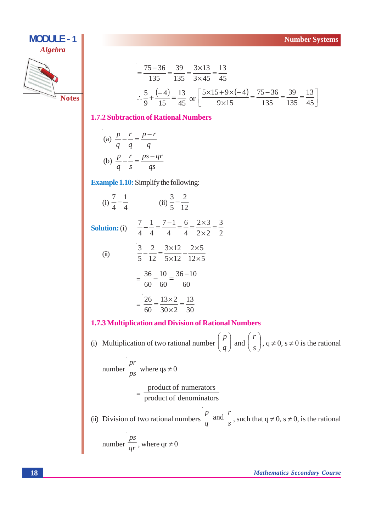

$$
= \frac{75 - 36}{135} = \frac{39}{135} = \frac{3 \times 13}{3 \times 45} = \frac{13}{45}
$$
  
 
$$
\therefore \frac{5}{9} + \frac{(-4)}{15} = \frac{13}{45} \text{ or } \left[ \frac{5 \times 15 + 9 \times (-4)}{9 \times 15} = \frac{75 - 36}{135} = \frac{39}{135} = \frac{13}{45} \right]
$$

#### **1.7.2 Subtraction of Rational Numbers**

(a) 
$$
\frac{p}{q} - \frac{r}{q} = \frac{p - r}{q}
$$
  
(b) 
$$
\frac{p}{q} - \frac{r}{s} = \frac{ps - qr}{qs}
$$

**Example 1.10:** Simplify the following:

(i)  $\frac{7}{4} - \frac{1}{4}$  (ii)  $\frac{3}{5} - \frac{2}{12}$ **Solution:** (i)  $\frac{7}{4} - \frac{1}{4} = \frac{7-1}{4} = \frac{6}{4} = \frac{2 \times 3}{2 \times 2} = \frac{3}{2}$  $\frac{3}{5} - \frac{2}{12} = \frac{3 \times 12}{5 \times 12} - \frac{2 \times 5}{12 \times 5}$  $(ii)$  $=\frac{36}{60}-\frac{10}{60}=\frac{36-10}{60}$  $=\frac{26}{60}=\frac{13\times2}{30\times2}=\frac{13}{30}$ 

#### 1.7.3 Multiplication and Division of Rational Numbers

(i) Multiplication of two rational number  $\left(\frac{p}{q}\right)$  and  $\left(\frac{r}{s}\right)$ ,  $q \neq 0$ ,  $s \neq 0$  is the rational

number 
$$
\frac{pr}{ps}
$$
 where  $qs \neq 0$   
=  $\frac{\text{product of numerators}}{\text{product of denominators}}$ 

(ii) Division of two rational numbers  $\frac{p}{q}$  and  $\frac{r}{s}$ , such that  $q \neq 0$ ,  $s \neq 0$ , is the rational number  $\frac{ps}{ar}$ , where qr  $\neq 0$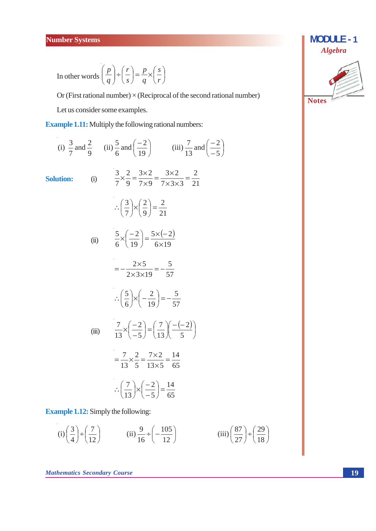In other words 
$$
\left(\frac{p}{q}\right) \div \left(\frac{r}{s}\right) = \frac{p}{q} \times \left(\frac{s}{r}\right)
$$

Or (First rational number)  $\times$  (Reciprocal of the second rational number) Let us consider some examples.

**Example 1.11:** Multiply the following rational numbers:

(i) 
$$
\frac{3}{7}
$$
 and  $\frac{2}{9}$  (ii)  $\frac{5}{6}$  and  $(\frac{-2}{19})$  (iii)  $\frac{7}{13}$  and  $(\frac{-2}{-5})$   
\nSolution:  
\n(i)  $\frac{3}{7} \times \frac{2}{9} = \frac{3 \times 2}{7 \times 9} = \frac{3 \times 2}{7 \times 3 \times 3} = \frac{2}{21}$   
\n $\therefore (\frac{3}{7}) \times (\frac{2}{9}) = \frac{2}{21}$   
\n(ii)  $\frac{5}{6} \times (\frac{-2}{19}) = \frac{5 \times (-2)}{6 \times 19}$   
\n $= -\frac{2 \times 5}{2 \times 3 \times 19} = -\frac{5}{57}$   
\n $\therefore (\frac{5}{6}) \times (-\frac{2}{19}) = -\frac{5}{57}$   
\n(iii)  $\frac{7}{13} \times (\frac{-2}{-5}) = (\frac{7}{13})(\frac{-(-2)}{5})$   
\n $= \frac{7}{13} \times \frac{2}{5} = \frac{7 \times 2}{13 \times 5} = \frac{14}{65}$   
\n $\therefore (\frac{7}{13}) \times (\frac{-2}{-5}) = \frac{14}{65}$ 

**Example 1.12:** Simply the following:

(i) 
$$
\left(\frac{3}{4}\right) \div \left(\frac{7}{12}\right)
$$
 (ii)  $\frac{9}{16} \div \left(-\frac{105}{12}\right)$  (iii)  $\left(\frac{87}{27}\right) \div \left(\frac{29}{18}\right)$ 

**Mathematics Secondary Course** 

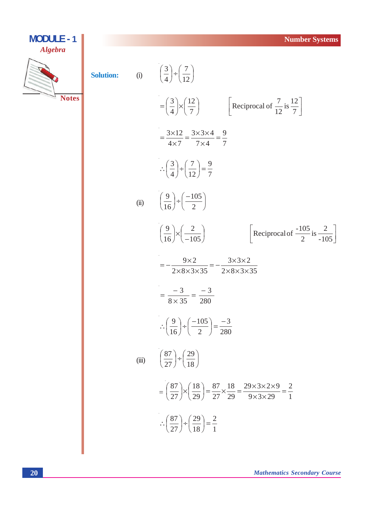**MODULE - 1**

\nSolution:

\n(i)

\n
$$
\left(\frac{3}{4}\right) \neq \left(\frac{7}{12}\right)
$$
\n
$$
= \left(\frac{3}{4}\right) \times \left(\frac{12}{7}\right)
$$
\n
$$
= \frac{3 \times 12}{4 \times 7} = \frac{3 \times 3 \times 4}{7 \times 4} = \frac{9}{7}
$$
\n
$$
\therefore \left(\frac{3}{4}\right) \neq \left(\frac{7}{12}\right) = \frac{9}{7}
$$
\n(ii)

\n
$$
\left(\frac{9}{16}\right) \neq \left(\frac{-105}{2}\right)
$$
\n
$$
\left(\frac{9}{16}\right) \neq \left(\frac{-105}{-105}\right)
$$
\n
$$
= -\frac{9 \times 2}{2 \times 8 \times 3 \times 35} = -\frac{3 \times 3 \times 2}{2 \times 8 \times 3 \times 35}
$$
\n
$$
= \frac{-3}{8 \times 35} = \frac{-3}{280}
$$
\n
$$
\therefore \left(\frac{9}{16}\right) \neq \left(\frac{-105}{2}\right) = \frac{-3}{280}
$$
\n(iii)

\n
$$
\left(\frac{87}{27}\right) \neq \left(\frac{19}{18}\right)
$$
\n
$$
= \left(\frac{87}{27}\right) \times \left(\frac{18}{18}\right) = \frac{87}{27} \times \frac{18}{29} = \frac{29 \times 3 \times 2 \times 9}{29 \times 3 \times 29} = \frac{2}{1}
$$
\n
$$
\therefore \left(\frac{87}{27}\right) \neq \left(\frac{19}{18}\right) = \frac{3}{1}
$$

 $\overline{\mathbf{X}}$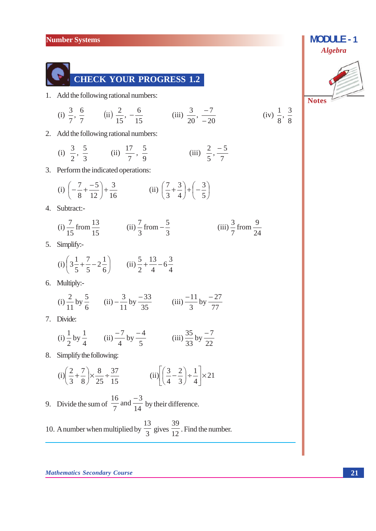

1. Add the following rational numbers:

(i) 
$$
\frac{3}{7}, \frac{6}{7}
$$
 (ii)  $\frac{2}{15}, -\frac{6}{15}$  (iii)  $\frac{3}{20}, -\frac{7}{-20}$  (iv)  $\frac{1}{8}, \frac{3}{8}$ 

2. Add the following rational numbers:

(i) 
$$
\frac{3}{2}, \frac{5}{3}
$$
 (ii)  $\frac{17}{7}, \frac{5}{9}$  (iii)  $\frac{2}{5}, \frac{-5}{7}$ 

3. Perform the indicated operations:

(i) 
$$
\left(-\frac{7}{8} + \frac{-5}{12}\right) + \frac{3}{16}
$$
 (ii)  $\left(\frac{7}{3} + \frac{3}{4}\right) + \left(-\frac{3}{5}\right)$ 

4. Subtract:-

 $\mathbb{R}^2$ 

 $\bar{L}$ 

(i) 
$$
\frac{7}{15}
$$
 from  $\frac{13}{15}$  (ii)  $\frac{7}{3}$  from  $-\frac{5}{3}$  (iii)  $\frac{3}{7}$  from  $\frac{9}{24}$ 

5. Simplify:-

(i) 
$$
\left(3\frac{1}{5} + \frac{7}{5} - 2\frac{1}{6}\right)
$$
 (ii)  $\frac{5}{2} + \frac{13}{4} - 6\frac{3}{4}$ 

6. Multiply:-

(i) 
$$
\frac{2}{11}
$$
 by  $\frac{5}{6}$  (ii)  $-\frac{3}{11}$  by  $\frac{-33}{35}$  (iii)  $\frac{-11}{3}$  by  $\frac{-27}{77}$ 

7. Divide:

(i) 
$$
\frac{1}{2}
$$
 by  $\frac{1}{4}$  (ii)  $\frac{-7}{4}$  by  $\frac{-4}{5}$  (iii)  $\frac{35}{33}$  by  $\frac{-7}{22}$ 

8. Simplify the following:

$$
(i)\left(\frac{2}{3} + \frac{7}{8}\right) \times \frac{8}{25} \div \frac{37}{15} \qquad \qquad (ii)\left[\left(\frac{3}{4} - \frac{2}{3}\right) \div \frac{1}{4}\right] \times 21
$$

9. Divide the sum of 
$$
\frac{16}{7}
$$
 and  $\frac{-3}{14}$  by their difference.

 $\bar{z}$ 

10. A number when multiplied by  $\frac{13}{3}$  gives  $\frac{39}{12}$ . Find the number.

**Mathematics Secondary Course** 



**MODULE - 1**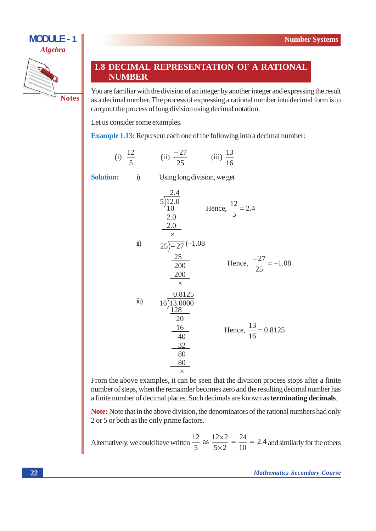

## 1.8 DECIMAL REPRESENTATION OF A RATIONAL **NUMBER**

You are familiar with the division of an integer by another integer and expressing the result as a decimal number. The process of expressing a rational number into decimal form is to carryout the process of long division using decimal notation.

Let us consider some examples.

 $i)$ 

**Example 1.13:** Represent each one of the following into a decimal number:

(i)  $\frac{12}{5}$  (ii)  $\frac{-27}{25}$  (iii)  $\frac{13}{16}$ 

**Solution:** 

Using long division, we get

$$
5\overline{\smash)12.0}_{10} \qquad \text{Hence, } \frac{12}{5} = 2.4
$$
\n
$$
\frac{2.0}{2.0}
$$
\n
$$
\frac{2.5}{200} \qquad \text{Hence, } \frac{-27}{25} = -1.08
$$
\n
$$
\frac{25}{200} \qquad \text{Hence, } \frac{-27}{25} = -1.08
$$
\n
$$
\frac{0.8125}{20} \qquad \text{ii)} \qquad 16\overline{\smash)13.0000}_{128}
$$
\n
$$
\frac{16}{20} \qquad \text{Hence, } \frac{13}{16} = 0.8125
$$
\n
$$
\frac{32}{80} \qquad \frac{80}{20}
$$

From the above examples, it can be seen that the division process stops after a finite number of steps, when the remainder becomes zero and the resulting decimal number has a finite number of decimal places. Such decimals are known as **terminating decimals**.

Note: Note that in the above division, the denominators of the rational numbers had only 2 or 5 or both as the only prime factors.

Alternatively, we could have written  $\frac{12}{5}$  as  $\frac{12 \times 2}{5 \times 2} = \frac{24}{10} = 2.4$  and similarly for the others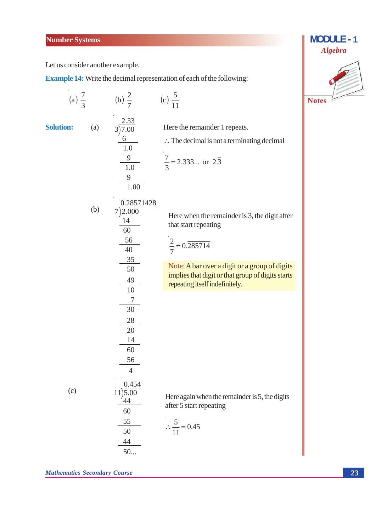Let us consider another example.

**Example 14:** Write the decimal representation of each of the following:

(a) 
$$
\frac{7}{3}
$$
 (b)  $\frac{2}{7}$  (c)  $\frac{5}{11}$   
\nSolution:  
\n(a)  $\frac{2.33}{3/7.00}$  Here the remainder 1 repeats.  
\n $\frac{6}{1.0}$   $\therefore$  The decimal is not a terminating decimal  
\n $\frac{9}{1.0}$   $\frac{7}{3} = 2.333...$  or 2.3  
\n $\frac{9}{1.00}$   
\n(b)  $\frac{0.28571428}{7/2.000}$  Here when the remainder is 3, the digit after  
\n $\frac{14}{60}$  that start repeating  
\n $\frac{56}{40}$   $\frac{2}{7} = 0.285714$   
\n $\frac{35}{50}$  **Note: A bar over a digit or a group of digits  
\nimplies that digit or that group of digits starts  
\nrepeating itself indefinitely.  
\n $\frac{49}{100}$  **Note: A bar over a digit or a group of digits starts**  
\n $\frac{49}{100}$  **1**  
\n $\frac{7}{10}$   
\n $\frac{28}{10}$   
\n $\frac{28}{40}$   
\n $\frac{6}{4}$   
\n(c)  $\frac{0.454}{11\mid 5.00}$  Here again when the remainder is 5, the digits  
\n $\frac{44}{100}$  after 5 start repeating  
\n $\frac{55}{50}$   $\therefore \frac{5}{11} = 0.\overline{45}$   
\n $\frac{44}{50...$** 



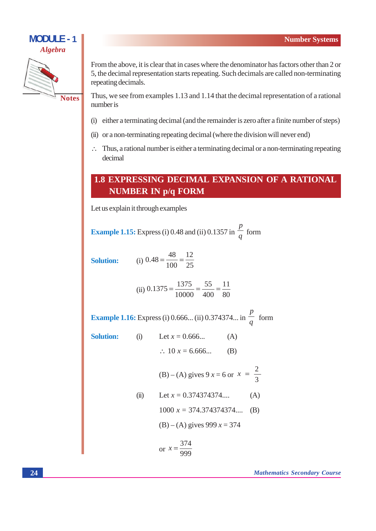

From the above, it is clear that in cases where the denominator has factors other than 2 or 5, the decimal representation starts repeating. Such decimals are called non-terminating repeating decimals.

Thus, we see from examples 1.13 and 1.14 that the decimal representation of a rational number is

- (i) either a terminating decimal (and the remainder is zero after a finite number of steps)
- (ii) or a non-terminating repeating decimal (where the division will never end)
- $\therefore$  Thus, a rational number is either a terminating decimal or a non-terminating repeating decimal

## **1.8 EXPRESSING DECIMAL EXPANSION OF A RATIONAL NUMBER IN p/q FORM**

Let us explain it through examples

**Example 1.15:** Express (i) 0.48 and (ii) 0.1357 in  $\frac{p}{q}$  form

**Solution:** 

(i)  $0.48 = \frac{48}{100} = \frac{12}{25}$ 

(ii) 
$$
0.1375 = \frac{1375}{10000} = \frac{55}{400} = \frac{11}{80}
$$

**Example 1.16:** Express (i) 0.666... (ii) 0.374374... in  $\frac{p}{a}$  form

Soluti

1001: (1) Let 
$$
x = 0.666...
$$
 (A)

\n $\therefore 10 x = 6.666...$  (B)

\n(B) – (A) gives  $9 x = 6$  or  $x = \frac{2}{3}$ 

\n(ii) Let  $x = 0.374374374...$  (A)

\n $1000 x = 374.374374374...$  (B)

\n(B) – (A) gives  $999 x = 374$ 

\nor  $x = \frac{374}{374}$ 

$$
r x = \frac{374}{999}
$$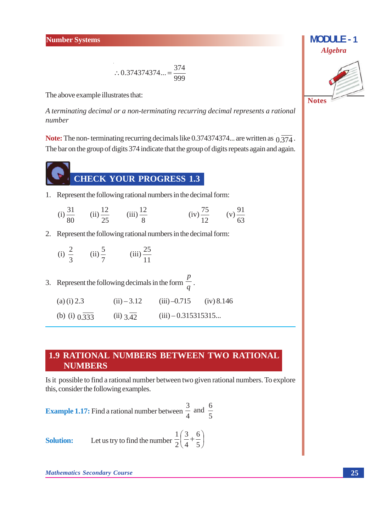$$
\therefore 0.374374374... = \frac{374}{999}
$$

The above example illustrates that:

A terminating decimal or a non-terminating recurring decimal represents a rational number

**Note:** The non-terminating recurring decimals like 0.374374374... are written as  $0.\overline{374}$ . The bar on the group of digits 374 indicate that the group of digits repeats again and again.

**CHECK YOUR PROGRESS 1.3** 

1. Represent the following rational numbers in the decimal form:

(i) 
$$
\frac{31}{80}
$$
 (ii)  $\frac{12}{25}$  (iii)  $\frac{12}{8}$  (iv)  $\frac{75}{12}$  (v)  $\frac{91}{63}$ 

2. Represent the following rational numbers in the decimal form:

(i) 
$$
\frac{2}{3}
$$
 (ii)  $\frac{5}{7}$  (iii)  $\frac{25}{11}$ 

| 3. Represent the following decimals in the form $\frac{P}{q}$ . |               |                       |            |  |  |
|-----------------------------------------------------------------|---------------|-----------------------|------------|--|--|
| (a) (i) $2.3$                                                   | $(ii) - 3.12$ | $(iii) -0.715$        | (iv) 8.146 |  |  |
| (b) (i) $0.\overline{333}$                                      | $(ii)$ 3.42   | $(iii) - 0.315315315$ |            |  |  |

## **1.9 RATIONAL NUMBERS BETWEEN TWO RATIONAL NUMBERS**

Is it possible to find a rational number between two given rational numbers. To explore this, consider the following examples.

 $\boldsymbol{p}$ 

**Example 1.17:** Find a rational number between 
$$
\frac{3}{4}
$$
 and  $\frac{6}{5}$ 

Let us try to find the number  $\frac{1}{2} \left( \frac{3}{4} + \frac{6}{5} \right)$ **Solution:** 

**Mathematics Secondary Course** 

# **MODULE-1 Algebra Notes**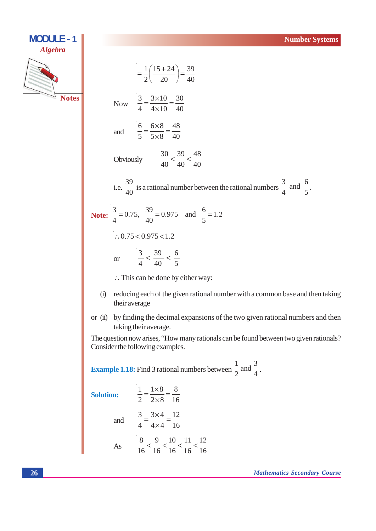

**MODULE - 1** 

 $=\frac{1}{2}\left(\frac{15+24}{20}\right)=\frac{39}{40}$ Now  $\frac{3}{4} = \frac{3 \times 10}{4 \times 10} = \frac{30}{40}$ and  $\frac{6}{5} = \frac{6 \times 8}{5 \times 8} = \frac{48}{40}$  $\frac{30}{40} < \frac{39}{40} < \frac{48}{40}$ Obviously i.e.  $\frac{39}{40}$  is a rational number between the rational numbers  $\frac{3}{4}$  and  $\frac{6}{5}$ . **Note:**  $\frac{3}{4} = 0.75$ ,  $\frac{39}{40} = 0.975$  and  $\frac{6}{5} = 1.2$  $\therefore$  0.75 < 0.975 < 1.2 or  $\frac{3}{4} < \frac{39}{40} < \frac{6}{5}$  $\therefore$  This can be done by either way:

- (i) reducing each of the given rational number with a common base and then taking their average
- or (ii) by finding the decimal expansions of the two given rational numbers and then taking their average.

The question now arises, "How many rationals can be found between two given rationals? Consider the following examples.

**Example 1.18:** Find 3 rational numbers between  $\frac{1}{2}$  and  $\frac{3}{4}$ .

**Solution:** 

and  $\frac{3}{4} = \frac{3 \times 4}{4 \times 4} = \frac{12}{16}$  $\frac{1}{8}$  0 10 11 12

 $\frac{1}{2} = \frac{1 \times 8}{2 \times 8} = \frac{8}{16}$ 

$$
4s \qquad \frac{8}{16} < \frac{9}{16} < \frac{10}{16} < \frac{11}{16} < \frac{12}{16}
$$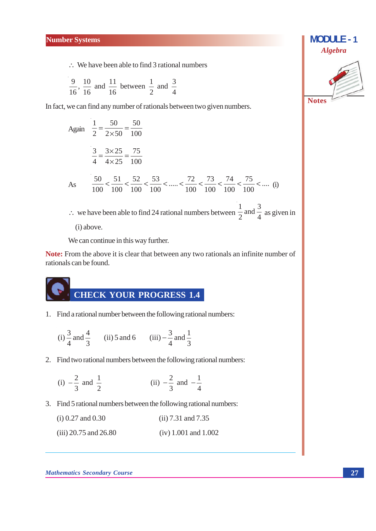$\therefore$  We have been able to find 3 rational numbers

 $\frac{9}{16}$ ,  $\frac{10}{16}$  and  $\frac{11}{16}$  between  $\frac{1}{2}$  and  $\frac{3}{4}$ 

In fact, we can find any number of rationals between two given numbers.

Again 
$$
\frac{1}{2} = \frac{50}{2 \times 50} = \frac{50}{100}
$$
  

$$
\frac{3}{4} = \frac{3 \times 25}{4 \times 25} = \frac{75}{100}
$$
As 
$$
\frac{50}{100} < \frac{51}{100} < \frac{52}{100} < \frac{53}{100} < \dots < \frac{72}{100} < \frac{73}{100} < \frac{74}{100} < \frac{75}{100} < \dots
$$
 (i)  
∴ we have been able to find 24 rational numbers between  $\frac{1}{2}$  and  $\frac{3}{4}$  as given in (i) above.

We can continue in this way further.

Note: From the above it is clear that between any two rationals an infinite number of rationals can be found.

1. Find a rational number between the following rational numbers:

(i) 
$$
\frac{3}{4}
$$
 and  $\frac{4}{3}$  (ii) 5 and 6 (iii)  $-\frac{3}{4}$  and  $\frac{1}{3}$ 

2. Find two rational numbers between the following rational numbers:

(i) 
$$
-\frac{2}{3}
$$
 and  $\frac{1}{2}$  (ii)  $-\frac{2}{3}$  and  $-\frac{1}{4}$ 

3. Find 5 rational numbers between the following rational numbers:

| $(i)$ 0.27 and 0.30     | $(ii) 7.31$ and $7.35$ |
|-------------------------|------------------------|
| $(iii)$ 20.75 and 26.80 | $(iv)$ 1.001 and 1.002 |

#### **Mathematics Secondary Course**



**MODULE - 1**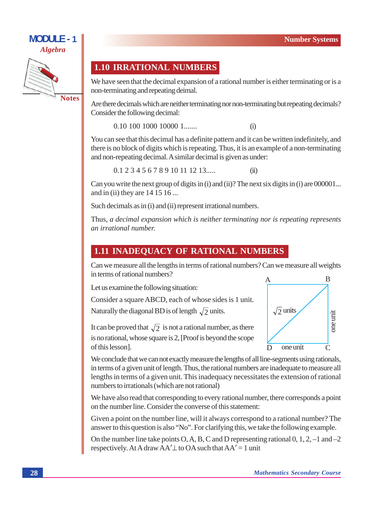

## **1.10 IRRATIONAL NUMBERS**

We have seen that the decimal expansion of a rational number is either terminating or is a non-terminating and repeating deimal.

Are there decimals which are neither terminating nor non-terminating but repeating decimals? Consider the following decimal:

 $0.10$  100 1000 10000 1......  $(i)$ 

You can see that this decimal has a definite pattern and it can be written indefinitely, and there is no block of digits which is repeating. Thus, it is an example of a non-terminating and non-repeating decimal. A similar decimal is given as under:

 $0.12345678910111213...$  $(ii)$ 

Can you write the next group of digits in (i) and (ii)? The next six digits in (i) are 000001... and in (ii) they are 14 15 16...

Such decimals as in (i) and (ii) represent irrational numbers.

Thus, a decimal expansion which is neither terminating nor is repeating represents an irrational number.

## **1.11 INADEQUACY OF RATIONAL NUMBERS**

Can we measure all the lengths in terms of rational numbers? Can we measure all weights in terms of rational numbers?

Let us examine the following situation:

Consider a square ABCD, each of whose sides is 1 unit.

Naturally the diagonal BD is of length  $\sqrt{2}$  units.

It can be proved that  $\sqrt{2}$  is not a rational number, as there is no rational, whose square is 2, [Proof is beyond the scope of this lesson].



We conclude that we can not exactly measure the lengths of all line-segments using rationals, in terms of a given unit of length. Thus, the rational numbers are inadequate to measure all lengths in terms of a given unit. This inadequacy necessitates the extension of rational numbers to irrationals (which are not rational)

We have also read that corresponding to every rational number, there corresponds a point on the number line. Consider the converse of this statement:

Given a point on the number line, will it always correspond to a rational number? The answer to this question is also "No". For clarifying this, we take the following example.

On the number line take points O, A, B, C and D representing rational  $0, 1, 2, -1$  and  $-2$ respectively. At A draw  $AA' \perp$  to OA such that  $AA' = 1$  unit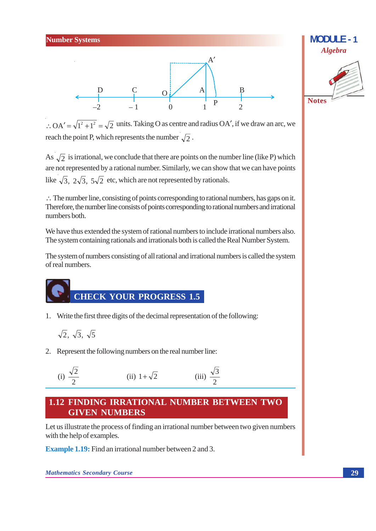



 $\therefore$  OA' =  $\sqrt{1^2+1^2}$  =  $\sqrt{2}$  units. Taking O as centre and radius OA', if we draw an arc, we reach the point P, which represents the number  $\sqrt{2}$ .

As  $\sqrt{2}$  is irrational, we conclude that there are points on the number line (like P) which are not represented by a rational number. Similarly, we can show that we can have points like  $\sqrt{3}$ ,  $2\sqrt{3}$ ,  $5\sqrt{2}$  etc, which are not represented by rationals.

 $\therefore$  The number line, consisting of points corresponding to rational numbers, has gaps on it. Therefore, the number line consists of points corresponding to rational numbers and irrational numbers both.

We have thus extended the system of rational numbers to include irrational numbers also. The system containing rationals and irrationals both is called the Real Number System.

The system of numbers consisting of all rational and irrational numbers is called the system of real numbers.



1. Write the first three digits of the decimal representation of the following:

$$
\sqrt{2}, \sqrt{3}, \sqrt{5}
$$

2. Represent the following numbers on the real number line:

(i) 
$$
\frac{\sqrt{2}}{2}
$$
 (ii)  $1 + \sqrt{2}$  (iii)  $\frac{\sqrt{3}}{2}$ 

## **1.12 FINDING IRRATIONAL NUMBER BETWEEN TWO GIVEN NUMBERS**

Let us illustrate the process of finding an irrational number between two given numbers with the help of examples.

**Example 1.19:** Find an irrational number between 2 and 3.

**Mathematics Secondary Course**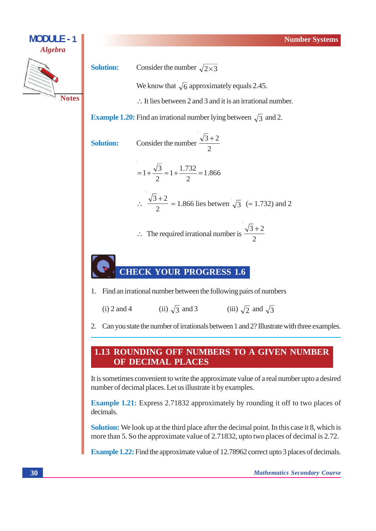

## **CHECK YOUR PROGRESS 1.6**

1. Find an irrational number between the following pairs of numbers

(ii)  $\sqrt{3}$  and 3 (iii)  $\sqrt{2}$  and  $\sqrt{3}$  $(i)$  2 and 4

2. Can you state the number of irrationals between 1 and 2? Illustrate with three examples.

## 1.13 ROUNDING OFF NUMBERS TO A GIVEN NUMBER OF DECIMAL PLACES

It is sometimes convenient to write the approximate value of a real number upto a desired number of decimal places. Let us illustrate it by examples.

**Example 1.21:** Express 2.71832 approximately by rounding it off to two places of decimals.

**Solution:** We look up at the third place after the decimal point. In this case it 8, which is more than 5. So the approximate value of 2.71832, upto two places of decimal is 2.72.

**Example 1.22:** Find the approximate value of 12.78962 correct upto 3 places of decimals.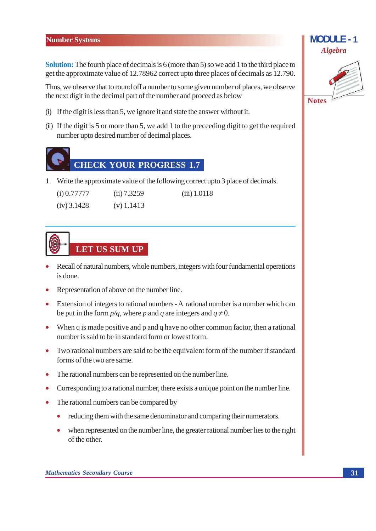**Solution:** The fourth place of decimals is 6 (more than 5) so we add 1 to the third place to get the approximate value of 12.78962 correct upto three places of decimals as 12.790.

Thus, we observe that to round off a number to some given number of places, we observe the next digit in the decimal part of the number and proceed as below

- (i) If the digit is less than 5, we ignore it and state the answer without it.
- (ii) If the digit is 5 or more than 5, we add 1 to the preceding digit to get the required number upto desired number of decimal places.



1. Write the approximate value of the following correct upto 3 place of decimals.

| $(i)$ 0.77777 | (ii) 7.3259  | $(iii)$ 1.0118 |
|---------------|--------------|----------------|
| $(iv)$ 3.1428 | $(v)$ 1.1413 |                |

# LET US SUM UP

- Recall of natural numbers, whole numbers, integers with four fundamental operations is done.
- Representation of above on the number line.
- Extension of integers to rational numbers A rational number is a number which can be put in the form  $p/q$ , where p and q are integers and  $q \neq 0$ .
- When  $q$  is made positive and  $p$  and  $q$  have no other common factor, then a rational number is said to be in standard form or lowest form
- Two rational numbers are said to be the equivalent form of the number if standard forms of the two are same.
- The rational numbers can be represented on the number line.
- Corresponding to a rational number, there exists a unique point on the number line.
- The rational numbers can be compared by  $\bullet$ 
	- reducing them with the same denominator and comparing their numerators.  $\bullet$
	- $\bullet$ when represented on the number line, the greater rational number lies to the right of the other.

**MODULE-1** 

**Algebra**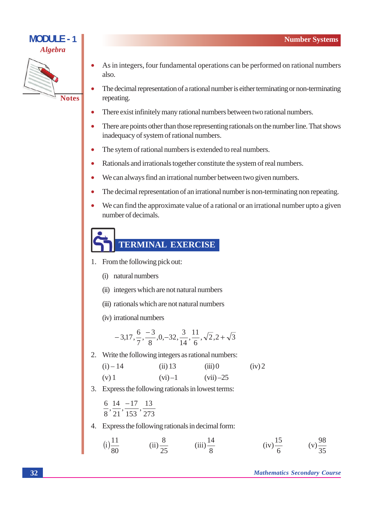

- As in integers, four fundamental operations can be performed on rational numbers also.
- The decimal representation of a rational number is either terminating or non-terminating repeating.
- There exist infinitely many rational numbers between two rational numbers.
- There are points other than those representing rationals on the number line. That shows inadequacy of system of rational numbers.
- The sytem of rational numbers is extended to real numbers.  $\bullet$
- Rationals and irrationals together constitute the system of real numbers.  $\bullet$
- We can always find an irrational number between two given numbers.  $\bullet$
- $\bullet$ The decimal representation of an irrational number is non-terminating non repeating.
- $\bullet$ We can find the approximate value of a rational or an irrational number upto a given number of decimals.

## TERMINAL EXERCISE

- 1. From the following pick out:
	- (i) natural numbers
	- (ii) integers which are not natural numbers
	- (iii) rationals which are not natural numbers
	- (iv) irrational numbers

$$
-3,17, \frac{6}{7}, \frac{-3}{8}, 0, -32, \frac{3}{14}, \frac{11}{6}, \sqrt{2}, 2 + \sqrt{3}
$$

2. Write the following integers as rational numbers:

| $(i) - 14$ | $(ii)$ 13  | (iii)       | (iv) 2 |
|------------|------------|-------------|--------|
| $(v)$ 1    | $(vi) - 1$ | $(vii) -25$ |        |

- 3. Express the following rationals in lowest terms:
	- $614 1713$  $\frac{1}{8}, \frac{1}{21}, \frac{1}{153}, \frac{1}{273}$
- 4. Express the following rationals in decimal form:

(i) 
$$
\frac{11}{80}
$$
 (ii)  $\frac{8}{25}$  (iii)  $\frac{14}{8}$  (iv)  $\frac{15}{6}$  (v)  $\frac{98}{35}$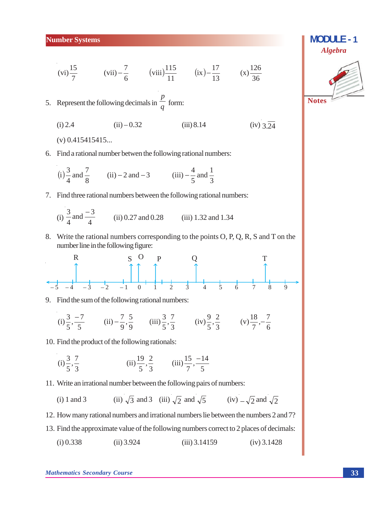#### **Number Systems**

(vi)  $\frac{15}{7}$  (vii)  $-\frac{7}{6}$  (viii)  $\frac{115}{11}$  (ix)  $-\frac{17}{13}$  (x)  $\frac{126}{36}$ 

5. Represent the following decimals in  $\frac{p}{q}$  form:

 $(i) 2.4$  $(ii) - 0.32$  $(iii) 8.14$  $(iv)$  3  $\overline{24}$ 

 $(v)$  0.415415415...

6. Find a rational number betwen the following rational numbers:

(i) 
$$
\frac{3}{4}
$$
 and  $\frac{7}{8}$  (ii) - 2 and -3 (iii)  $-\frac{4}{5}$  and  $\frac{1}{3}$ 

7. Find three rational numbers between the following rational numbers:

(i) 
$$
\frac{3}{4}
$$
 and  $\frac{-3}{4}$  (ii) 0.27 and 0.28 (iii) 1.32 and 1.34

8. Write the rational numbers corresponding to the points O, P, Q, R, S and T on the number line in the following figure:

9. Find the sum of the following rational numbers:

(i) 
$$
\frac{3}{5}, \frac{-7}{5}
$$
 (ii)  $-\frac{7}{9}, \frac{5}{9}$  (iii)  $\frac{3}{5}, \frac{7}{3}$  (iv)  $\frac{9}{5}, \frac{2}{3}$  (v)  $\frac{18}{7}, -\frac{7}{6}$ 

10. Find the product of the following rationals:

(i) 
$$
\frac{3}{5}, \frac{7}{3}
$$
 (ii)  $\frac{19}{5}, \frac{2}{3}$  (iii)  $\frac{15}{7}, \frac{-14}{5}$ 

- 11. Write an irrational number between the following pairs of numbers:
	- (ii)  $\sqrt{3}$  and 3 (iii)  $\sqrt{2}$  and  $\sqrt{5}$  (iv)  $-\sqrt{2}$  and  $\sqrt{2}$  $(i) 1$  and 3
- 12. How many rational numbers and irrational numbers lie between the numbers 2 and 7?
- 13. Find the approximate value of the following numbers correct to 2 places of decimals:
	- $(i) 0.338$  $(ii)$  3.924  $(iii)$  3.14159  $(iv)$  3.1428



**MODULE-1**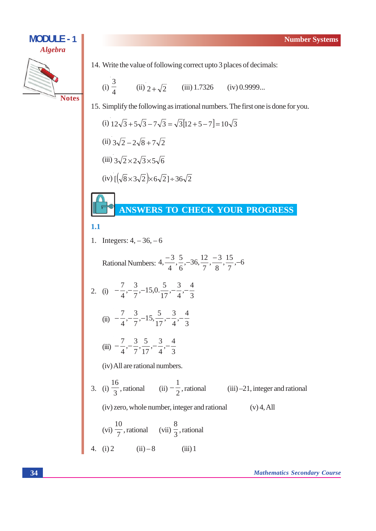

14. Write the value of following correct upto 3 places of decimals:

(i) 
$$
\frac{3}{4}
$$
 (ii)  $2 + \sqrt{2}$  (iii) 1.7326 (iv) 0.9999...

15. Simplify the following as irrational numbers. The first one is done for you.

(i) 
$$
12\sqrt{3} + 5\sqrt{3} - 7\sqrt{3} = \sqrt{3}[12 + 5 - 7] = 10\sqrt{3}
$$
  
\n(ii)  $3\sqrt{2} - 2\sqrt{8} + 7\sqrt{2}$   
\n(iii)  $3\sqrt{2} \times 2\sqrt{3} \times 5\sqrt{6}$   
\n(iv)  $[(\sqrt{8} \times 3\sqrt{2}) \times 6\sqrt{2}] \div 36\sqrt{2}$ 

ANSWERS TO CHECK YOUR PROGRESS

## $1.1$

1. Integers:  $4, -36, -6$ 

Rational Numbers: 
$$
4, \frac{-3}{4}, \frac{5}{6}, -36, \frac{12}{7}, \frac{-3}{8}, \frac{15}{7}, -6
$$
  
\n2. (i)  $-\frac{7}{4}, -\frac{3}{7}, -15, 0, \frac{5}{17}, -\frac{3}{4}, -\frac{4}{3}$   
\n(ii)  $-\frac{7}{4}, -\frac{3}{7}, -15, \frac{5}{17}, -\frac{3}{4}, -\frac{4}{3}$   
\n(iii)  $-\frac{7}{4}, -\frac{3}{7}, \frac{5}{17}, -\frac{3}{4}, -\frac{4}{3}$   
\n(iv) All are rational numbers.  
\n3. (i)  $\frac{16}{3}$ , rational (ii)  $-\frac{1}{2}$ , rational (iii) -21, integer and rational (iv) zero, whole number, integer and rational (v) 4, All (vi)  $\frac{10}{7}$ , rational (vii)  $\frac{8}{3}$ , rational (vii)  $\frac{8}{3}$ , rational (viii) 1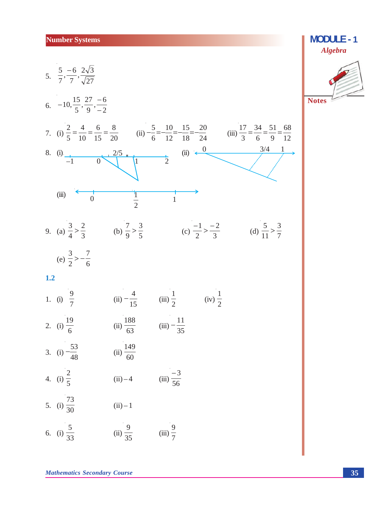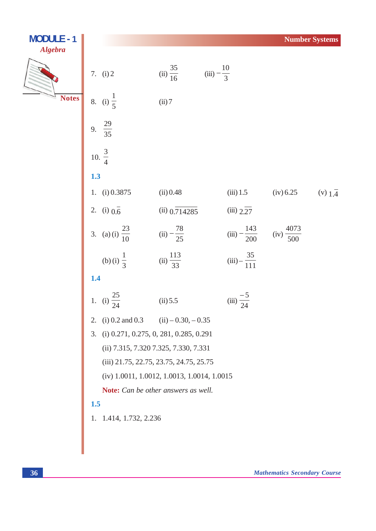| <b>MODULE - 1</b> |                                                |                                     |                           |                         | <b>Number Systems</b> |
|-------------------|------------------------------------------------|-------------------------------------|---------------------------|-------------------------|-----------------------|
| <b>Algebra</b>    | 7. (i) 2                                       | (ii) $\frac{35}{16}$                | (iii) $-\frac{10}{3}$     |                         |                       |
| <b>Notes</b>      | 8. (i) $\frac{1}{5}$                           | (ii) 7                              |                           |                         |                       |
|                   | $\frac{29}{35}$<br>9.                          |                                     |                           |                         |                       |
|                   | 10. $\frac{3}{4}$                              |                                     |                           |                         |                       |
|                   | 1.3                                            |                                     |                           |                         |                       |
|                   | 1. (i) 0.3875                                  | (ii) 0.48                           | $(iii)$ 1.5               | (iv) 6.25               | (v) $1.\overline{4}$  |
|                   | 2. (i) $0.\overline{6}$                        | $(ii)$ 0.714285                     | $(iii)$ $2.\overline{27}$ |                         |                       |
|                   | 3. (a) (i) $\frac{23}{10}$                     | (ii) $-\frac{78}{25}$               | (iii) $-\frac{143}{200}$  | (iv) $\frac{4073}{500}$ |                       |
|                   | (b) (i) $\frac{1}{3}$                          | (ii) $\frac{113}{33}$               | $(iii) - \frac{35}{111}$  |                         |                       |
|                   | 1.4                                            |                                     |                           |                         |                       |
|                   | $\frac{25}{24}$<br>1.<br>(i)                   | (ii) 5.5                            | (iii) $\frac{-5}{24}$     |                         |                       |
|                   | 2.                                             | (i) 0.2 and 0.3 (ii) $-0.30, -0.35$ |                           |                         |                       |
|                   | $(i)$ 0.271, 0.275, 0, 281, 0.285, 0.291<br>3. |                                     |                           |                         |                       |
|                   | (ii) 7.315, 7.320 7.325, 7.330, 7.331          |                                     |                           |                         |                       |
|                   | (iii) 21.75, 22.75, 23.75, 24.75, 25.75        |                                     |                           |                         |                       |
|                   | (iv) 1.0011, 1.0012, 1.0013, 1.0014, 1.0015    |                                     |                           |                         |                       |
|                   |                                                | Note: Can be other answers as well. |                           |                         |                       |
|                   | 1.5                                            |                                     |                           |                         |                       |
|                   | 1. 1.414, 1.732, 2.236                         |                                     |                           |                         |                       |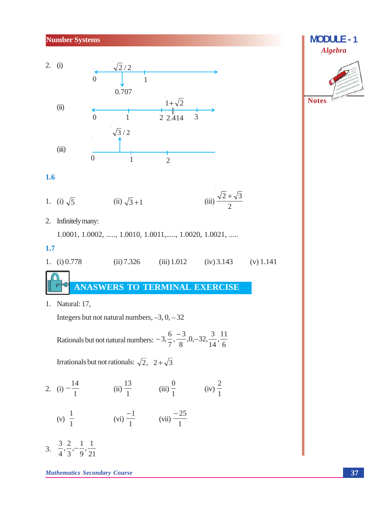#### **Number Systems**



#### $1.6$

1. (i) 
$$
\sqrt{5}
$$
 (ii)  $\sqrt{3}+1$  (iii)  $\frac{\sqrt{2}+\sqrt{3}}{2}$ 

2. Infinitely many:

1.0001, 1.0002, ....., 1.0010, 1.0011, ....., 1.0020, 1.0021, .....

#### $1.7$

1. (i)  $0.778$  $(ii) 7.326$  $(iii) 1.012$  $(iv)$  3.143  $(v)$  1.141

ANASWERS TO TERMINAL EXERCISE

1. Natural: 17,

Integers but not natural numbers,  $-3$ ,  $0$ ,  $-32$ 

Rationals but not natural numbers: 
$$
-3, \frac{6}{7}, \frac{-3}{8}, 0, -32, \frac{3}{14}, \frac{11}{6}
$$

Irrationals but not rationals:  $\sqrt{2}$ ,  $2 + \sqrt{3}$ 

2. (i)  $-\frac{14}{1}$  (ii)  $\frac{13}{1}$  (iii)  $\frac{0}{1}$  (iv)  $\frac{2}{1}$ 

(v) 
$$
\frac{1}{1}
$$
 (vi)  $\frac{-1}{1}$  (vii)  $\frac{-25}{1}$ 

3.  $\frac{3}{4}, \frac{2}{3}, -\frac{1}{9}, \frac{1}{21}$ 

**Mathematics Secondary Course**